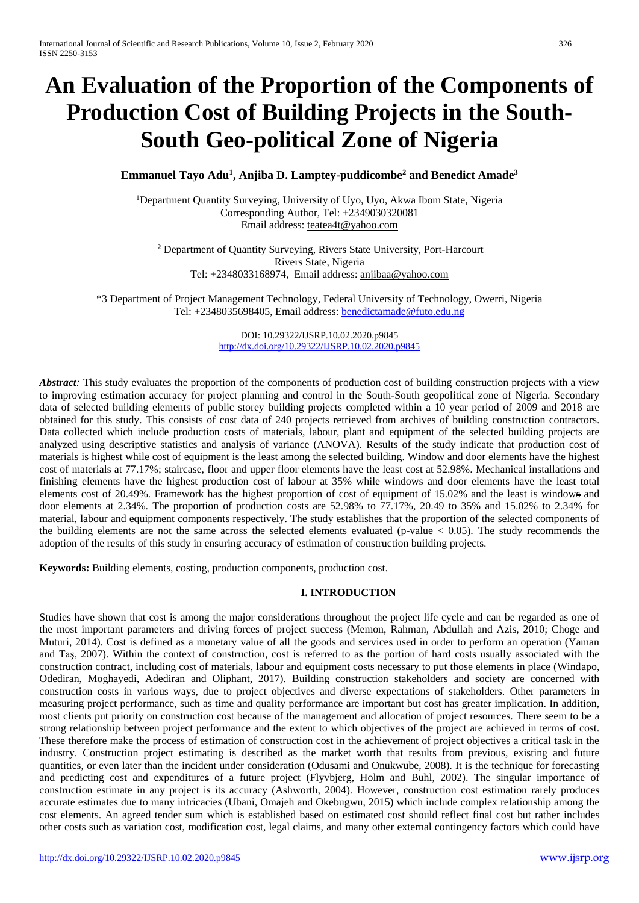# **An Evaluation of the Proportion of the Components of Production Cost of Building Projects in the South-South Geo-political Zone of Nigeria**

# **Emmanuel Tayo Adu<sup>1</sup> , Anjiba D. Lamptey-puddicombe<sup>2</sup> and Benedict Amade<sup>3</sup>**

<sup>1</sup>Department Quantity Surveying, University of Uyo, Uyo, Akwa Ibom State, Nigeria Corresponding Author, Tel: +2349030320081 Email address: [teatea4t@yahoo.com](mailto:teatea4t@yahoo.com)

**<sup>2</sup>** Department of Quantity Surveying, Rivers State University, Port-Harcourt Rivers State, Nigeria Tel: +2348033168974, Email address: [anjibaa@yahoo.com](mailto:anjibaa@yahoo.com)

\*3 Department of Project Management Technology, Federal University of Technology, Owerri, Nigeria Tel: +2348035698405, Email address: [benedictamade@futo.edu.ng](mailto:benedictamade@futo.edu.ng)

> DOI: 10.29322/IJSRP.10.02.2020.p9845 <http://dx.doi.org/10.29322/IJSRP.10.02.2020.p9845>

*Abstract*: This study evaluates the proportion of the components of production cost of building construction projects with a view to improving estimation accuracy for project planning and control in the South-South geopolitical zone of Nigeria. Secondary data of selected building elements of public storey building projects completed within a 10 year period of 2009 and 2018 are obtained for this study. This consists of cost data of 240 projects retrieved from archives of building construction contractors. Data collected which include production costs of materials, labour, plant and equipment of the selected building projects are analyzed using descriptive statistics and analysis of variance (ANOVA). Results of the study indicate that production cost of materials is highest while cost of equipment is the least among the selected building. Window and door elements have the highest cost of materials at 77.17%; staircase, floor and upper floor elements have the least cost at 52.98%. Mechanical installations and finishing elements have the highest production cost of labour at 35% while windows and door elements have the least total elements cost of 20.49%. Framework has the highest proportion of cost of equipment of 15.02% and the least is windows and door elements at 2.34%. The proportion of production costs are 52.98% to 77.17%, 20.49 to 35% and 15.02% to 2.34% for material, labour and equipment components respectively. The study establishes that the proportion of the selected components of the building elements are not the same across the selected elements evaluated (p-value  $< 0.05$ ). The study recommends the adoption of the results of this study in ensuring accuracy of estimation of construction building projects.

**Keywords:** Building elements, costing, production components, production cost.

## **I. INTRODUCTION**

Studies have shown that cost is among the major considerations throughout the project life cycle and can be regarded as one of the most important parameters and driving forces of project success (Memon, Rahman, Abdullah and Azis, 2010; Choge and Muturi, 2014). Cost is defined as a monetary value of all the goods and services used in order to perform an operation (Yaman and Taş, 2007). Within the context of construction, cost is referred to as the portion of hard costs usually associated with the construction contract, including cost of materials, labour and equipment costs necessary to put those elements in place (Windapo, Odediran, Moghayedi, Adediran and Oliphant, 2017). Building construction stakeholders and society are concerned with construction costs in various ways, due to project objectives and diverse expectations of stakeholders. Other parameters in measuring project performance, such as time and quality performance are important but cost has greater implication. In addition, most clients put priority on construction cost because of the management and allocation of project resources. There seem to be a strong relationship between project performance and the extent to which objectives of the project are achieved in terms of cost. These therefore make the process of estimation of construction cost in the achievement of project objectives a critical task in the industry. Construction project estimating is described as the market worth that results from previous, existing and future quantities, or even later than the incident under consideration (Odusami and Onukwube, 2008). It is the technique for forecasting and predicting cost and expenditures of a future project (Flyvbjerg, Holm and Buhl, 2002). The singular importance of construction estimate in any project is its accuracy (Ashworth, 2004). However, construction cost estimation rarely produces accurate estimates due to many intricacies (Ubani, Omajeh and Okebugwu, 2015) which include complex relationship among the cost elements. An agreed tender sum which is established based on estimated cost should reflect final cost but rather includes other costs such as variation cost, modification cost, legal claims, and many other external contingency factors which could have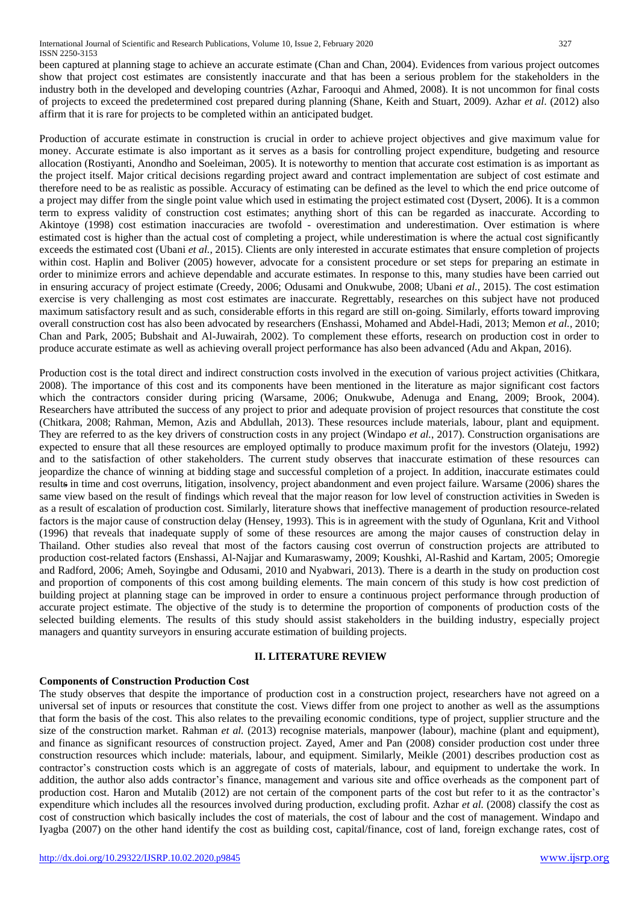been captured at planning stage to achieve an accurate estimate (Chan and Chan, 2004). Evidences from various project outcomes show that project cost estimates are consistently inaccurate and that has been a serious problem for the stakeholders in the industry both in the developed and developing countries (Azhar, Farooqui and Ahmed, 2008). It is not uncommon for final costs of projects to exceed the predetermined cost prepared during planning (Shane, Keith and Stuart, 2009). Azhar *et al*. (2012) also affirm that it is rare for projects to be completed within an anticipated budget.

Production of accurate estimate in construction is crucial in order to achieve project objectives and give maximum value for money. Accurate estimate is also important as it serves as a basis for controlling project expenditure, budgeting and resource allocation (Rostiyanti, Anondho and Soeleiman, 2005). It is noteworthy to mention that accurate cost estimation is as important as the project itself. Major critical decisions regarding project award and contract implementation are subject of cost estimate and therefore need to be as realistic as possible. Accuracy of estimating can be defined as the level to which the end price outcome of a project may differ from the single point value which used in estimating the project estimated cost (Dysert, 2006). It is a common term to express validity of construction cost estimates; anything short of this can be regarded as inaccurate. According to Akintoye (1998) cost estimation inaccuracies are twofold - overestimation and underestimation. Over estimation is where estimated cost is higher than the actual cost of completing a project, while underestimation is where the actual cost significantly exceeds the estimated cost (Ubani *et al.*, 2015). Clients are only interested in accurate estimates that ensure completion of projects within cost. Haplin and Boliver (2005) however, advocate for a consistent procedure or set steps for preparing an estimate in order to minimize errors and achieve dependable and accurate estimates. In response to this, many studies have been carried out in ensuring accuracy of project estimate (Creedy, 2006; Odusami and Onukwube, 2008; Ubani *et al.*, 2015). The cost estimation exercise is very challenging as most cost estimates are inaccurate. Regrettably, researches on this subject have not produced maximum satisfactory result and as such, considerable efforts in this regard are still on-going. Similarly, efforts toward improving overall construction cost has also been advocated by researchers (Enshassi, Mohamed and Abdel-Hadi, 2013; Memon *et al.,* 2010; Chan and Park, 2005; Bubshait and Al-Juwairah, 2002). To complement these efforts, research on production cost in order to produce accurate estimate as well as achieving overall project performance has also been advanced (Adu and Akpan, 2016).

Production cost is the total direct and indirect construction costs involved in the execution of various project activities (Chitkara, 2008). The importance of this cost and its components have been mentioned in the literature as major significant cost factors which the contractors consider during pricing (Warsame, 2006; Onukwube, Adenuga and Enang, 2009; Brook, 2004). Researchers have attributed the success of any project to prior and adequate provision of project resources that constitute the cost (Chitkara, 2008; Rahman, Memon, Azis and Abdullah, 2013). These resources include materials, labour, plant and equipment. They are referred to as the key drivers of construction costs in any project (Windapo *et al.*, 2017). Construction organisations are expected to ensure that all these resources are employed optimally to produce maximum profit for the investors (Olateju, 1992) and to the satisfaction of other stakeholders. The current study observes that inaccurate estimation of these resources can jeopardize the chance of winning at bidding stage and successful completion of a project. In addition, inaccurate estimates could results in time and cost overruns, litigation, insolvency, project abandonment and even project failure. Warsame (2006) shares the same view based on the result of findings which reveal that the major reason for low level of construction activities in Sweden is as a result of escalation of production cost. Similarly, literature shows that ineffective management of production resource-related factors is the major cause of construction delay (Hensey, 1993). This is in agreement with the study of Ogunlana, Krit and Vithool (1996) that reveals that inadequate supply of some of these resources are among the major causes of construction delay in Thailand. Other studies also reveal that most of the factors causing cost overrun of construction projects are attributed to production cost-related factors (Enshassi, Al-Najjar and Kumaraswamy, 2009; Koushki, Al-Rashid and Kartam, 2005; Omoregie and Radford, 2006; Ameh, Soyingbe and Odusami, 2010 and Nyabwari, 2013). There is a dearth in the study on production cost and proportion of components of this cost among building elements. The main concern of this study is how cost prediction of building project at planning stage can be improved in order to ensure a continuous project performance through production of accurate project estimate. The objective of the study is to determine the proportion of components of production costs of the selected building elements. The results of this study should assist stakeholders in the building industry, especially project managers and quantity surveyors in ensuring accurate estimation of building projects.

# **II. LITERATURE REVIEW**

# **Components of Construction Production Cost**

The study observes that despite the importance of production cost in a construction project, researchers have not agreed on a universal set of inputs or resources that constitute the cost. Views differ from one project to another as well as the assumptions that form the basis of the cost. This also relates to the prevailing economic conditions, type of project, supplier structure and the size of the construction market. Rahman *et al.* (2013) recognise materials, manpower (labour), machine (plant and equipment), and finance as significant resources of construction project. Zayed, Amer and Pan (2008) consider production cost under three construction resources which include: materials, labour, and equipment. Similarly, Meikle (2001) describes production cost as contractor's construction costs which is an aggregate of costs of materials, labour, and equipment to undertake the work. In addition, the author also adds contractor's finance, management and various site and office overheads as the component part of production cost. Haron and Mutalib (2012) are not certain of the component parts of the cost but refer to it as the contractor's expenditure which includes all the resources involved during production, excluding profit. Azhar *et al.* (2008) classify the cost as cost of construction which basically includes the cost of materials, the cost of labour and the cost of management. Windapo and Iyagba (2007) on the other hand identify the cost as building cost, capital/finance, cost of land, foreign exchange rates, cost of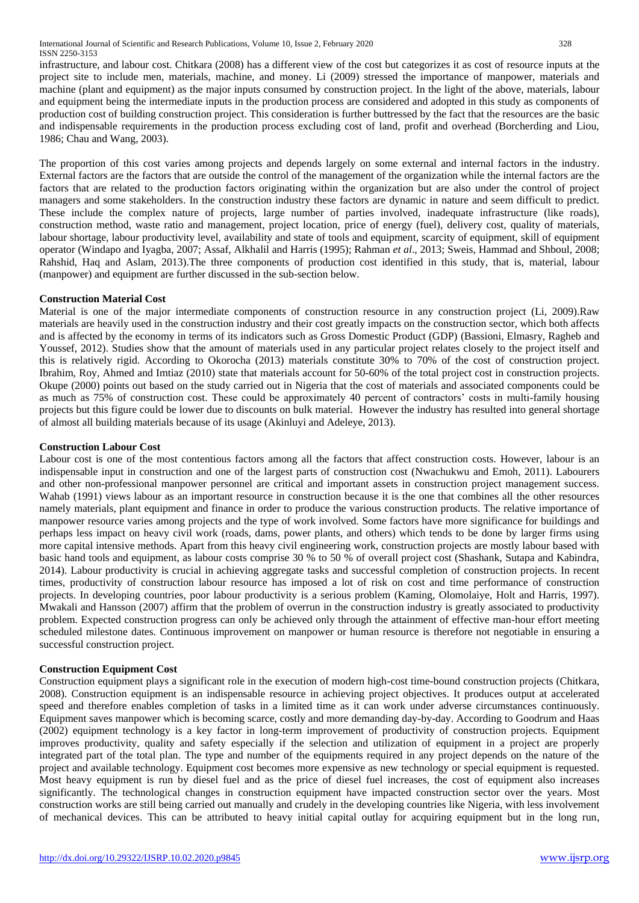infrastructure, and labour cost. Chitkara (2008) has a different view of the cost but categorizes it as cost of resource inputs at the project site to include men, materials, machine, and money. Li (2009) stressed the importance of manpower, materials and machine (plant and equipment) as the major inputs consumed by construction project. In the light of the above, materials, labour and equipment being the intermediate inputs in the production process are considered and adopted in this study as components of production cost of building construction project. This consideration is further buttressed by the fact that the resources are the basic and indispensable requirements in the production process excluding cost of land, profit and overhead (Borcherding and Liou, 1986; Chau and Wang, 2003).

The proportion of this cost varies among projects and depends largely on some external and internal factors in the industry. External factors are the factors that are outside the control of the management of the organization while the internal factors are the factors that are related to the production factors originating within the organization but are also under the control of project managers and some stakeholders. In the construction industry these factors are dynamic in nature and seem difficult to predict. These include the complex nature of projects, large number of parties involved, inadequate infrastructure (like roads), construction method, waste ratio and management, project location, price of energy (fuel), delivery cost, quality of materials, labour shortage, labour productivity level, availability and state of tools and equipment, scarcity of equipment, skill of equipment operator (Windapo and Iyagba, 2007; Assaf, Alkhalil and Harris (1995); Rahman *et al*., 2013; Sweis, Hammad and Shboul, 2008; Rahshid, Haq and Aslam, 2013).The three components of production cost identified in this study, that is, material, labour (manpower) and equipment are further discussed in the sub-section below.

## **Construction Material Cost**

Material is one of the major intermediate components of construction resource in any construction project (Li, 2009).Raw materials are heavily used in the construction industry and their cost greatly impacts on the construction sector, which both affects and is affected by the economy in terms of its indicators such as Gross Domestic Product (GDP) (Bassioni, Elmasry, Ragheb and Youssef, 2012). Studies show that the amount of materials used in any particular project relates closely to the project itself and this is relatively rigid. According to Okorocha (2013) materials constitute 30% to 70% of the cost of construction project. Ibrahim, Roy, Ahmed and Imtiaz (2010) state that materials account for 50-60% of the total project cost in construction projects. Okupe (2000) points out based on the study carried out in Nigeria that the cost of materials and associated components could be as much as 75% of construction cost. These could be approximately 40 percent of contractors' costs in multi-family housing projects but this figure could be lower due to discounts on bulk material. However the industry has resulted into general shortage of almost all building materials because of its usage (Akinluyi and Adeleye, 2013).

## **Construction Labour Cost**

Labour cost is one of the most contentious factors among all the factors that affect construction costs. However, labour is an indispensable input in construction and one of the largest parts of construction cost (Nwachukwu and Emoh, 2011). Labourers and other non-professional manpower personnel are critical and important assets in construction project management success. Wahab (1991) views labour as an important resource in construction because it is the one that combines all the other resources namely materials, plant equipment and finance in order to produce the various construction products. The relative importance of manpower resource varies among projects and the type of work involved. Some factors have more significance for buildings and perhaps less impact on heavy civil work (roads, dams, power plants, and others) which tends to be done by larger firms using more capital intensive methods. Apart from this heavy civil engineering work, construction projects are mostly labour based with basic hand tools and equipment, as labour costs comprise 30 % to 50 % of overall project cost (Shashank, Sutapa and Kabindra, 2014). Labour productivity is crucial in achieving aggregate tasks and successful completion of construction projects. In recent times, productivity of construction labour resource has imposed a lot of risk on cost and time performance of construction projects. In developing countries, poor labour productivity is a serious problem (Kaming, Olomolaiye, Holt and Harris, 1997). Mwakali and Hansson (2007) affirm that the problem of overrun in the construction industry is greatly associated to productivity problem. Expected construction progress can only be achieved only through the attainment of effective man-hour effort meeting scheduled milestone dates. Continuous improvement on manpower or human resource is therefore not negotiable in ensuring a successful construction project.

## **Construction Equipment Cost**

Construction equipment plays a significant role in the execution of modern high-cost time-bound construction projects (Chitkara, 2008). Construction equipment is an indispensable resource in achieving project objectives. It produces output at accelerated speed and therefore enables completion of tasks in a limited time as it can work under adverse circumstances continuously. Equipment saves manpower which is becoming scarce, costly and more demanding day-by-day. According to Goodrum and Haas (2002) equipment technology is a key factor in long-term improvement of productivity of construction projects. Equipment improves productivity, quality and safety especially if the selection and utilization of equipment in a project are properly integrated part of the total plan. The type and number of the equipments required in any project depends on the nature of the project and available technology. Equipment cost becomes more expensive as new technology or special equipment is requested. Most heavy equipment is run by diesel fuel and as the price of diesel fuel increases, the cost of equipment also increases significantly. The technological changes in construction equipment have impacted construction sector over the years. Most construction works are still being carried out manually and crudely in the developing countries like Nigeria, with less involvement of mechanical devices. This can be attributed to heavy initial capital outlay for acquiring equipment but in the long run,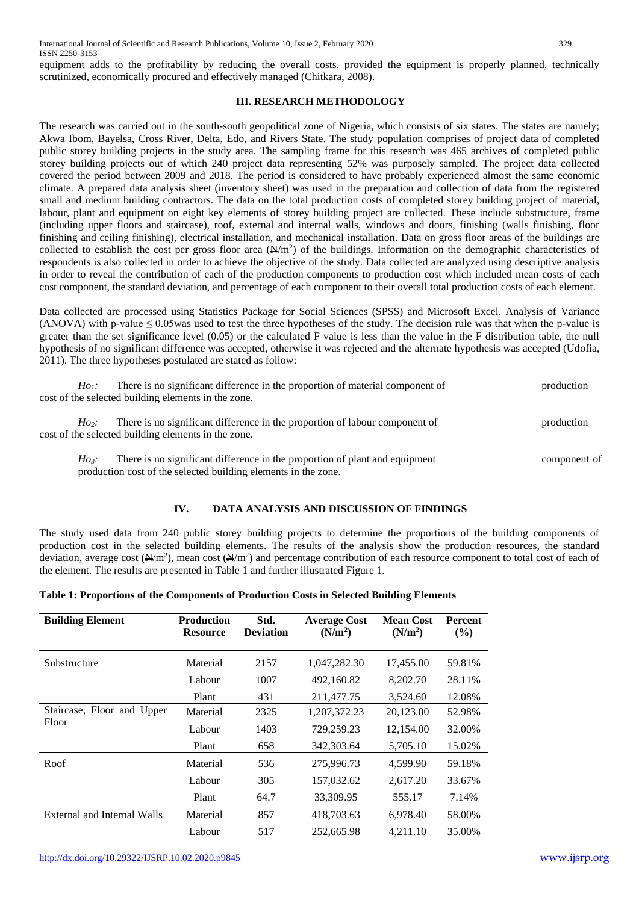equipment adds to the profitability by reducing the overall costs, provided the equipment is properly planned, technically scrutinized, economically procured and effectively managed (Chitkara, 2008).

## **III. RESEARCH METHODOLOGY**

The research was carried out in the south-south geopolitical zone of Nigeria, which consists of six states. The states are namely; Akwa Ibom, Bayelsa, Cross River, Delta, Edo, and Rivers State. The study population comprises of project data of completed public storey building projects in the study area. The sampling frame for this research was 465 archives of completed public storey building projects out of which 240 project data representing 52% was purposely sampled. The project data collected covered the period between 2009 and 2018. The period is considered to have probably experienced almost the same economic climate. A prepared data analysis sheet (inventory sheet) was used in the preparation and collection of data from the registered small and medium building contractors. The data on the total production costs of completed storey building project of material, labour, plant and equipment on eight key elements of storey building project are collected. These include substructure, frame (including upper floors and staircase), roof, external and internal walls, windows and doors, finishing (walls finishing, floor finishing and ceiling finishing), electrical installation, and mechanical installation. Data on gross floor areas of the buildings are collected to establish the cost per gross floor area  $(\frac{N}{m^2})$  of the buildings. Information on the demographic characteristics of respondents is also collected in order to achieve the objective of the study. Data collected are analyzed using descriptive analysis in order to reveal the contribution of each of the production components to production cost which included mean costs of each cost component, the standard deviation, and percentage of each component to their overall total production costs of each element.

Data collected are processed using Statistics Package for Social Sciences (SPSS) and Microsoft Excel. Analysis of Variance (ANOVA) with p-value  $\leq 0.05$  was used to test the three hypotheses of the study. The decision rule was that when the p-value is greater than the set significance level (0.05) or the calculated F value is less than the value in the F distribution table, the null hypothesis of no significant difference was accepted, otherwise it was rejected and the alternate hypothesis was accepted (Udofia, 2011). The three hypotheses postulated are stated as follow:

| $H\!o$ i: | There is no significant difference in the proportion of material component of<br>cost of the selected building elements in the zone.          | production   |
|-----------|-----------------------------------------------------------------------------------------------------------------------------------------------|--------------|
| $Ho$ :    | There is no significant difference in the proportion of labour component of<br>cost of the selected building elements in the zone.            | production   |
| Ho        | There is no significant difference in the proportion of plant and equipment<br>production cost of the selected building elements in the zone. | component of |

# **IV. DATA ANALYSIS AND DISCUSSION OF FINDINGS**

The study used data from 240 public storey building projects to determine the proportions of the building components of production cost in the selected building elements. The results of the analysis show the production resources, the standard deviation, average cost  $(\frac{N}{m^2})$ , mean cost  $(\frac{N}{m^2})$  and percentage contribution of each resource component to total cost of each of the element. The results are presented in Table 1 and further illustrated Figure 1.

|  |  | Table 1: Proportions of the Components of Production Costs in Selected Building Elements |
|--|--|------------------------------------------------------------------------------------------|
|--|--|------------------------------------------------------------------------------------------|

| <b>Building Element</b>     | <b>Production</b><br><b>Resource</b> | Std.<br><b>Deviation</b> | <b>Average Cost</b><br>(N/m <sup>2</sup> ) | <b>Mean Cost</b><br>(N/m <sup>2</sup> ) | <b>Percent</b><br>(%) |
|-----------------------------|--------------------------------------|--------------------------|--------------------------------------------|-----------------------------------------|-----------------------|
| Substructure                | Material                             | 2157                     | 1,047,282.30                               | 17,455.00                               | 59.81%                |
|                             | Labour                               | 1007                     | 492,160.82                                 | 8,202.70                                | 28.11%                |
|                             | Plant                                | 431                      | 211,477.75                                 | 3.524.60                                | 12.08%                |
| Staircase, Floor and Upper  | Material                             | 2325                     | 1,207,372.23                               | 20,123.00                               | 52.98%                |
| Floor                       | Labour                               | 1403                     | 729,259.23                                 | 12,154.00                               | 32.00%                |
|                             | Plant                                | 658                      | 342,303.64                                 | 5,705.10                                | 15.02%                |
| Roof                        | Material                             | 536                      | 275,996.73                                 | 4.599.90                                | 59.18%                |
|                             | Labour                               | 305                      | 157,032.62                                 | 2,617.20                                | 33.67%                |
|                             | Plant                                | 64.7                     | 33,309.95                                  | 555.17                                  | 7.14%                 |
| External and Internal Walls | Material                             | 857                      | 418,703.63                                 | 6.978.40                                | 58.00%                |
|                             | Labour                               | 517                      | 252,665.98                                 | 4.211.10                                | 35.00%                |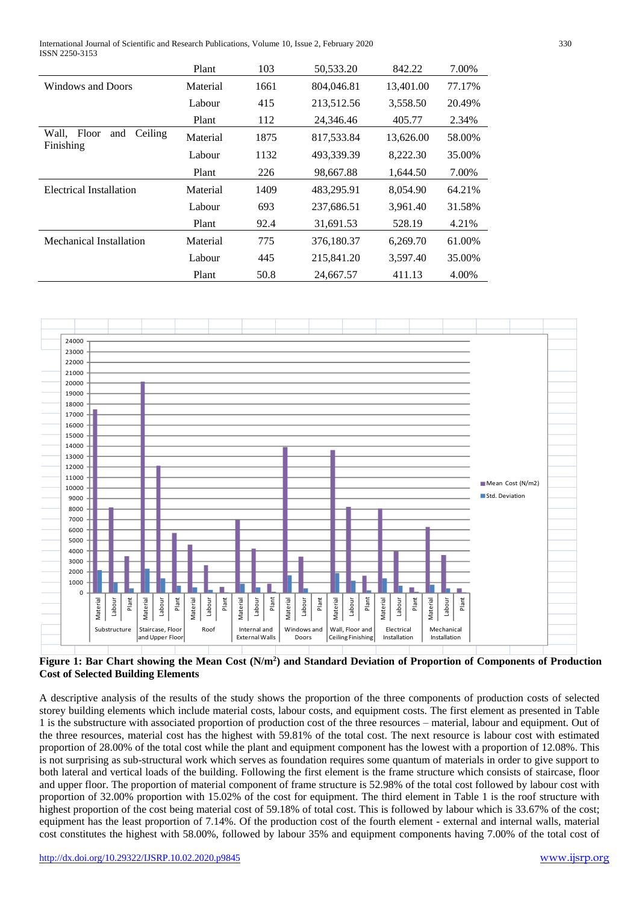International Journal of Scientific and Research Publications, Volume 10, Issue 2, February 2020 330 ISSN 2250-3153

|                                            | Plant    | 103  | 50,533.20  | 842.22    | 7.00%  |
|--------------------------------------------|----------|------|------------|-----------|--------|
| Windows and Doors                          | Material | 1661 | 804,046.81 | 13,401.00 | 77.17% |
|                                            | Labour   | 415  | 213,512.56 | 3,558.50  | 20.49% |
|                                            | Plant    | 112  | 24,346.46  | 405.77    | 2.34%  |
| Wall. Floor<br>and<br>Ceiling<br>Finishing | Material | 1875 | 817,533.84 | 13,626.00 | 58.00% |
|                                            | Labour   | 1132 | 493,339.39 | 8,222.30  | 35.00% |
|                                            | Plant    | 226  | 98,667.88  | 1.644.50  | 7.00%  |
| Electrical Installation                    | Material | 1409 | 483,295.91 | 8.054.90  | 64.21% |
|                                            | Labour   | 693  | 237,686.51 | 3,961.40  | 31.58% |
|                                            | Plant    | 92.4 | 31,691.53  | 528.19    | 4.21%  |
| Mechanical Installation                    | Material | 775  | 376,180.37 | 6,269.70  | 61.00% |
|                                            | Labour   | 445  | 215,841.20 | 3,597.40  | 35.00% |
|                                            | Plant    | 50.8 | 24,667.57  | 411.13    | 4.00%  |



**Figure 1: Bar Chart showing the Mean Cost (N/m<sup>2</sup> ) and Standard Deviation of Proportion of Components of Production Cost of Selected Building Elements**

A descriptive analysis of the results of the study shows the proportion of the three components of production costs of selected storey building elements which include material costs, labour costs, and equipment costs. The first element as presented in Table 1 is the substructure with associated proportion of production cost of the three resources – material, labour and equipment. Out of the three resources, material cost has the highest with 59.81% of the total cost. The next resource is labour cost with estimated proportion of 28.00% of the total cost while the plant and equipment component has the lowest with a proportion of 12.08%. This is not surprising as sub-structural work which serves as foundation requires some quantum of materials in order to give support to both lateral and vertical loads of the building. Following the first element is the frame structure which consists of staircase, floor and upper floor. The proportion of material component of frame structure is 52.98% of the total cost followed by labour cost with proportion of 32.00% proportion with 15.02% of the cost for equipment. The third element in Table 1 is the roof structure with highest proportion of the cost being material cost of 59.18% of total cost. This is followed by labour which is 33.67% of the cost; equipment has the least proportion of 7.14%. Of the production cost of the fourth element - external and internal walls, material cost constitutes the highest with 58.00%, followed by labour 35% and equipment components having 7.00% of the total cost of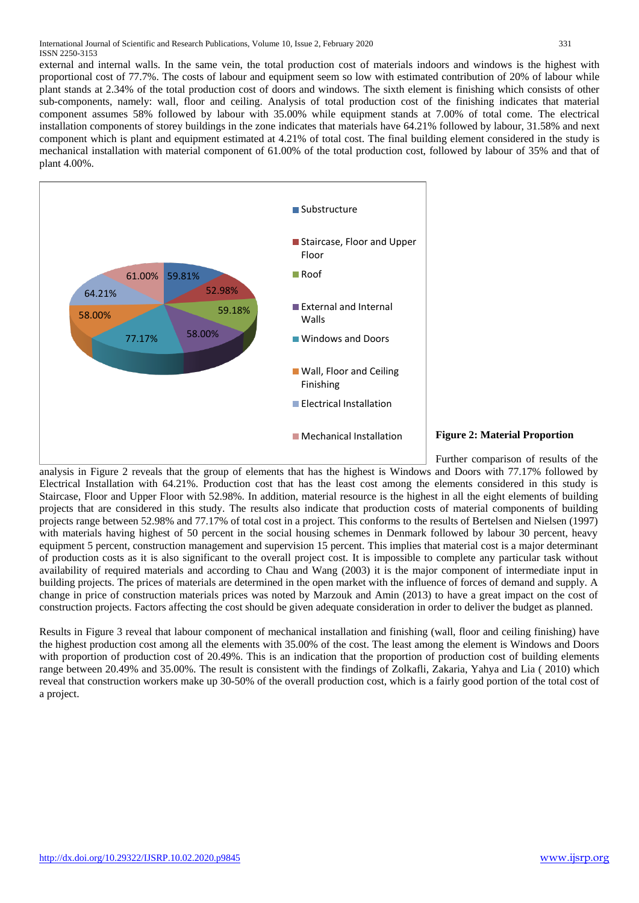external and internal walls. In the same vein, the total production cost of materials indoors and windows is the highest with proportional cost of 77.7%. The costs of labour and equipment seem so low with estimated contribution of 20% of labour while plant stands at 2.34% of the total production cost of doors and windows. The sixth element is finishing which consists of other sub-components, namely: wall, floor and ceiling. Analysis of total production cost of the finishing indicates that material component assumes 58% followed by labour with 35.00% while equipment stands at 7.00% of total come. The electrical installation components of storey buildings in the zone indicates that materials have 64.21% followed by labour, 31.58% and next component which is plant and equipment estimated at 4.21% of total cost. The final building element considered in the study is mechanical installation with material component of 61.00% of the total production cost, followed by labour of 35% and that of plant 4.00%.



#### **Figure 2: Material Proportion**

Further comparison of results of the analysis in Figure 2 reveals that the group of elements that has the highest is Windows and Doors with 77.17% followed by Electrical Installation with 64.21%. Production cost that has the least cost among the elements considered in this study is Staircase, Floor and Upper Floor with 52.98%. In addition, material resource is the highest in all the eight elements of building projects that are considered in this study. The results also indicate that production costs of material components of building projects range between 52.98% and 77.17% of total cost in a project. This conforms to the results of Bertelsen and Nielsen (1997) with materials having highest of 50 percent in the social housing schemes in Denmark followed by labour 30 percent, heavy equipment 5 percent, construction management and supervision 15 percent. This implies that material cost is a major determinant of production costs as it is also significant to the overall project cost. It is impossible to complete any particular task without availability of required materials and according to Chau and Wang (2003) it is the major component of intermediate input in building projects. The prices of materials are determined in the open market with the influence of forces of demand and supply. A change in price of construction materials prices was noted by Marzouk and Amin (2013) to have a great impact on the cost of construction projects. Factors affecting the cost should be given adequate consideration in order to deliver the budget as planned.

Results in Figure 3 reveal that labour component of mechanical installation and finishing (wall, floor and ceiling finishing) have the highest production cost among all the elements with 35.00% of the cost. The least among the element is Windows and Doors with proportion of production cost of 20.49%. This is an indication that the proportion of production cost of building elements range between 20.49% and 35.00%. The result is consistent with the findings of Zolkafli, Zakaria, Yahya and Lia ( 2010) which reveal that construction workers make up 30-50% of the overall production cost, which is a fairly good portion of the total cost of a project.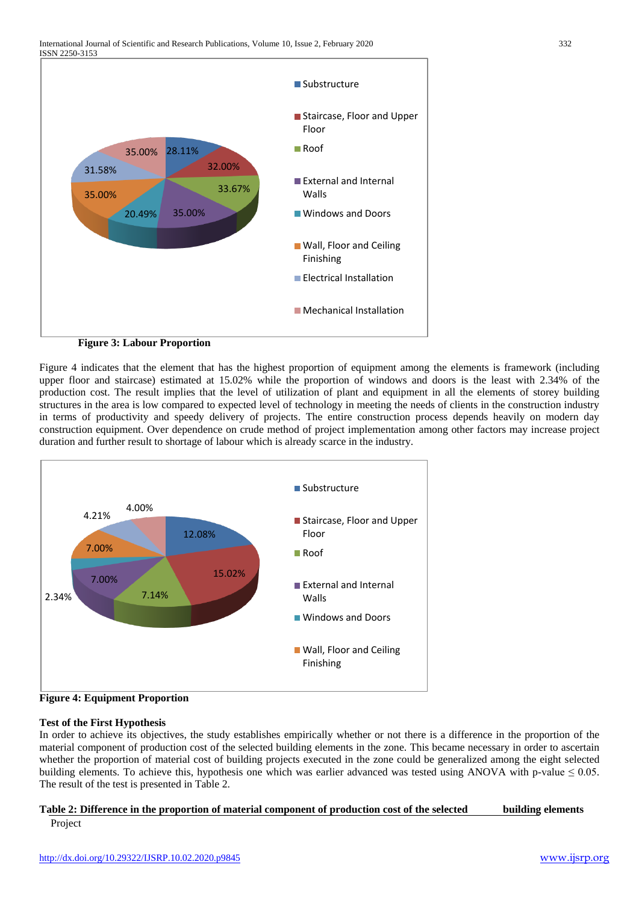

Figure 4 indicates that the element that has the highest proportion of equipment among the elements is framework (including upper floor and staircase) estimated at 15.02% while the proportion of windows and doors is the least with 2.34% of the production cost. The result implies that the level of utilization of plant and equipment in all the elements of storey building structures in the area is low compared to expected level of technology in meeting the needs of clients in the construction industry in terms of productivity and speedy delivery of projects. The entire construction process depends heavily on modern day construction equipment. Over dependence on crude method of project implementation among other factors may increase project duration and further result to shortage of labour which is already scarce in the industry.





## **Test of the First Hypothesis**

In order to achieve its objectives, the study establishes empirically whether or not there is a difference in the proportion of the material component of production cost of the selected building elements in the zone. This became necessary in order to ascertain whether the proportion of material cost of building projects executed in the zone could be generalized among the eight selected building elements. To achieve this, hypothesis one which was earlier advanced was tested using ANOVA with p-value  $\leq 0.05$ . The result of the test is presented in Table 2.

## **Table 2: Difference in the proportion of material component of production cost of the selected building elements** Project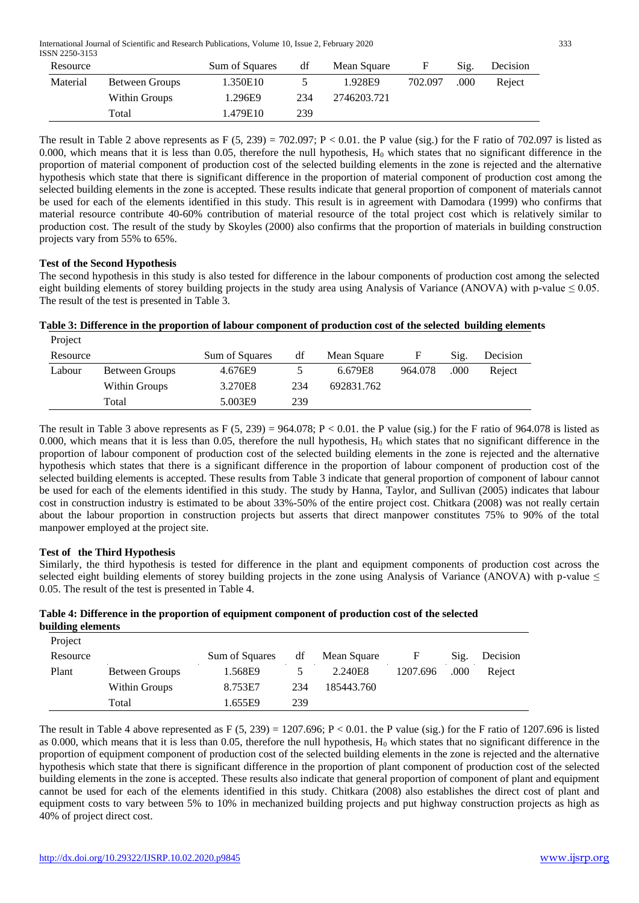International Journal of Scientific and Research Publications, Volume 10, Issue 2, February 2020 333 ISSN 2250-3153

| Resource |                | Sum of Squares | df  | Mean Square | F       | Sig. | Decision |
|----------|----------------|----------------|-----|-------------|---------|------|----------|
| Material | Between Groups | 1.350E10       |     | 1.928E9     | 702.097 | .000 | Reject   |
|          | Within Groups  | 1.296E9        | 234 | 2746203.721 |         |      |          |
|          | Total          | 1.479E10       | 239 |             |         |      |          |

The result in Table 2 above represents as F (5, 239) = 702.097; P < 0.01. the P value (sig.) for the F ratio of 702.097 is listed as 0.000, which means that it is less than 0.05, therefore the null hypothesis,  $H_0$  which states that no significant difference in the proportion of material component of production cost of the selected building elements in the zone is rejected and the alternative hypothesis which state that there is significant difference in the proportion of material component of production cost among the selected building elements in the zone is accepted. These results indicate that general proportion of component of materials cannot be used for each of the elements identified in this study. This result is in agreement with Damodara (1999) who confirms that material resource contribute 40-60% contribution of material resource of the total project cost which is relatively similar to production cost. The result of the study by Skoyles (2000) also confirms that the proportion of materials in building construction projects vary from 55% to 65%.

## **Test of the Second Hypothesis**

The second hypothesis in this study is also tested for difference in the labour components of production cost among the selected eight building elements of storey building projects in the study area using Analysis of Variance (ANOVA) with p-value  $\leq 0.05$ . The result of the test is presented in Table 3.

#### **Table 3: Difference in the proportion of labour component of production cost of the selected building elements** Project

| Resource |                | Sum of Squares | df  | Mean Square |         | Sig. | Decision |
|----------|----------------|----------------|-----|-------------|---------|------|----------|
| Labour   | Between Groups | 4.676E9        |     | 6.679E8     | 964.078 | .000 | Reject   |
|          | Within Groups  | 3.270E8        | 234 | 692831.762  |         |      |          |
|          | Total          | 5.003E9        | 239 |             |         |      |          |

The result in Table 3 above represents as F (5, 239) = 964.078; P < 0.01. the P value (sig.) for the F ratio of 964.078 is listed as 0.000, which means that it is less than 0.05, therefore the null hypothesis,  $H_0$  which states that no significant difference in the proportion of labour component of production cost of the selected building elements in the zone is rejected and the alternative hypothesis which states that there is a significant difference in the proportion of labour component of production cost of the selected building elements is accepted. These results from Table 3 indicate that general proportion of component of labour cannot be used for each of the elements identified in this study. The study by Hanna, Taylor, and Sullivan (2005) indicates that labour cost in construction industry is estimated to be about 33%-50% of the entire project cost. Chitkara (2008) was not really certain about the labour proportion in construction projects but asserts that direct manpower constitutes 75% to 90% of the total manpower employed at the project site.

# **Test of the Third Hypothesis**

**Project** 

Similarly, the third hypothesis is tested for difference in the plant and equipment components of production cost across the selected eight building elements of storey building projects in the zone using Analysis of Variance (ANOVA) with p-value  $\leq$ 0.05. The result of the test is presented in Table 4.

## **Table 4: Difference in the proportion of equipment component of production cost of the selected building elements**

| Resource |                | Sum of Squares | df  | Mean Square |          | Sig. | Decision |
|----------|----------------|----------------|-----|-------------|----------|------|----------|
| Plant    | Between Groups | 1.568E9        |     | 2.240E8     | 1207.696 | .000 | Reject   |
|          | Within Groups  | 8.753E7        | 234 | 185443.760  |          |      |          |
|          | Total          | 1.655E9        | 239 |             |          |      |          |

The result in Table 4 above represented as  $F (5, 239) = 1207.696$ ;  $P < 0.01$ . the P value (sig.) for the F ratio of 1207.696 is listed as 0.000, which means that it is less than 0.05, therefore the null hypothesis,  $H_0$  which states that no significant difference in the proportion of equipment component of production cost of the selected building elements in the zone is rejected and the alternative hypothesis which state that there is significant difference in the proportion of plant component of production cost of the selected building elements in the zone is accepted. These results also indicate that general proportion of component of plant and equipment cannot be used for each of the elements identified in this study. Chitkara (2008) also establishes the direct cost of plant and equipment costs to vary between 5% to 10% in mechanized building projects and put highway construction projects as high as 40% of project direct cost.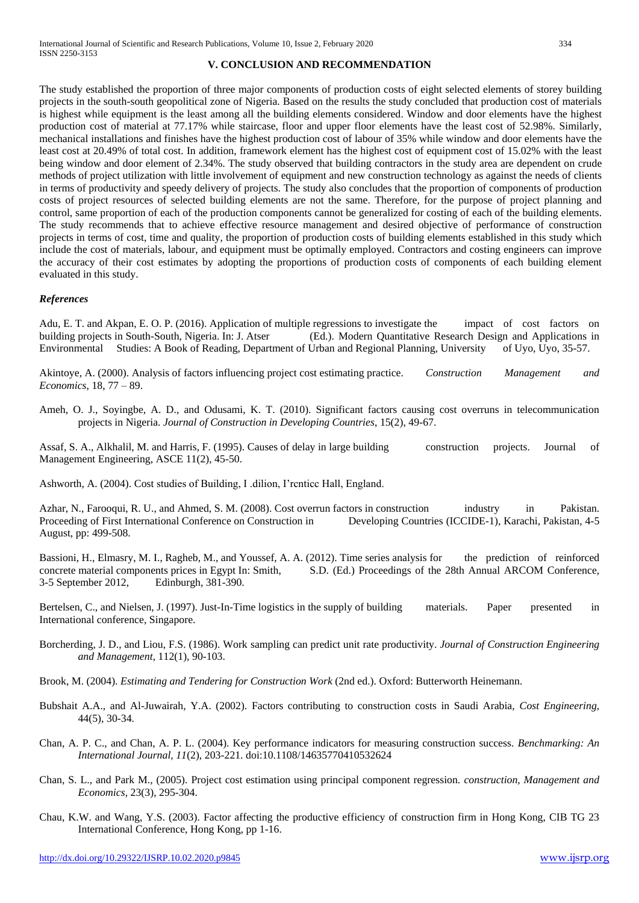## **V. CONCLUSION AND RECOMMENDATION**

The study established the proportion of three major components of production costs of eight selected elements of storey building projects in the south-south geopolitical zone of Nigeria. Based on the results the study concluded that production cost of materials is highest while equipment is the least among all the building elements considered. Window and door elements have the highest production cost of material at 77.17% while staircase, floor and upper floor elements have the least cost of 52.98%. Similarly, mechanical installations and finishes have the highest production cost of labour of 35% while window and door elements have the least cost at 20.49% of total cost. In addition, framework element has the highest cost of equipment cost of 15.02% with the least being window and door element of 2.34%. The study observed that building contractors in the study area are dependent on crude methods of project utilization with little involvement of equipment and new construction technology as against the needs of clients in terms of productivity and speedy delivery of projects. The study also concludes that the proportion of components of production costs of project resources of selected building elements are not the same. Therefore, for the purpose of project planning and control, same proportion of each of the production components cannot be generalized for costing of each of the building elements. The study recommends that to achieve effective resource management and desired objective of performance of construction projects in terms of cost, time and quality, the proportion of production costs of building elements established in this study which include the cost of materials, labour, and equipment must be optimally employed. Contractors and costing engineers can improve the accuracy of their cost estimates by adopting the proportions of production costs of components of each building element evaluated in this study.

#### *References*

Adu, E. T. and Akpan, E. O. P. (2016). Application of multiple regressions to investigate the impact of cost factors on building projects in South-South, Nigeria. In: J. Atser (Ed.). Modern Quantitative Research Design and Applications in Environmental Studies: A Book of Reading, Department of Urban and Regional Planning, University of Uyo, Uyo, 35-57.

Akintoye, A. (2000). Analysis of factors influencing project cost estimating practice. *Construction Management and Economics*, 18, 77 – 89.

Ameh, O. J., Soyingbe, A. D., and Odusami, K. T. (2010). Significant factors causing cost overruns in telecommunication projects in Nigeria. *Journal of Construction in Developing Countries*, 15(2), 49-67.

Assaf, S. A., Alkhalil, M. and Harris, F. (1995). Causes of delay in large building construction projects. Journal of Management Engineering, ASCE 11(2), 45-50.

Ashworth, A. (2004). Cost studies of Building, I .dilion, I'rcnticc Hall, England.

Azhar, N., Farooqui, R. U., and Ahmed, S. M. (2008). Cost overrun factors in construction industry in Pakistan. Proceeding of First International Conference on Construction in Developing Countries (ICCIDE-1), Karachi, Pakistan, 4-5 August, pp: 499-508.

Bassioni, H., Elmasry, M. I., Ragheb, M., and Youssef, A. A. (2012). Time series analysis for the prediction of reinforced concrete material components prices in Egypt In: Smith, S.D. (Ed.) Proceedings of the 28th Annual ARCOM Conference, 3-5 September 2012, Edinburgh, 381-390.

Bertelsen, C., and Nielsen, J. (1997). Just-In-Time logistics in the supply of building materials. Paper presented in International conference, Singapore.

- Borcherding, J. D., and Liou, F.S. (1986). Work sampling can predict unit rate productivity. *Journal of Construction Engineering and Management*, 112(1), 90-103.
- Brook, M. (2004). *Estimating and Tendering for Construction Work* (2nd ed.). Oxford: Butterworth Heinemann.
- Bubshait A.A., and Al-Juwairah, Y.A. (2002). Factors contributing to construction costs in Saudi Arabia, *Cost Engineering,*  44(5), 30-34.
- Chan, A. P. C., and Chan, A. P. L. (2004). Key performance indicators for measuring construction success. *Benchmarking: An International Journal, 11*(2), 203-221. doi:10.1108/14635770410532624
- Chan, S. L., and Park M., (2005). Project cost estimation using principal component regression. *construction, Management and Economics,* 23(3), 295-304.
- Chau, K.W. and Wang, Y.S. (2003). Factor affecting the productive efficiency of construction firm in Hong Kong, CIB TG 23 International Conference, Hong Kong, pp 1-16.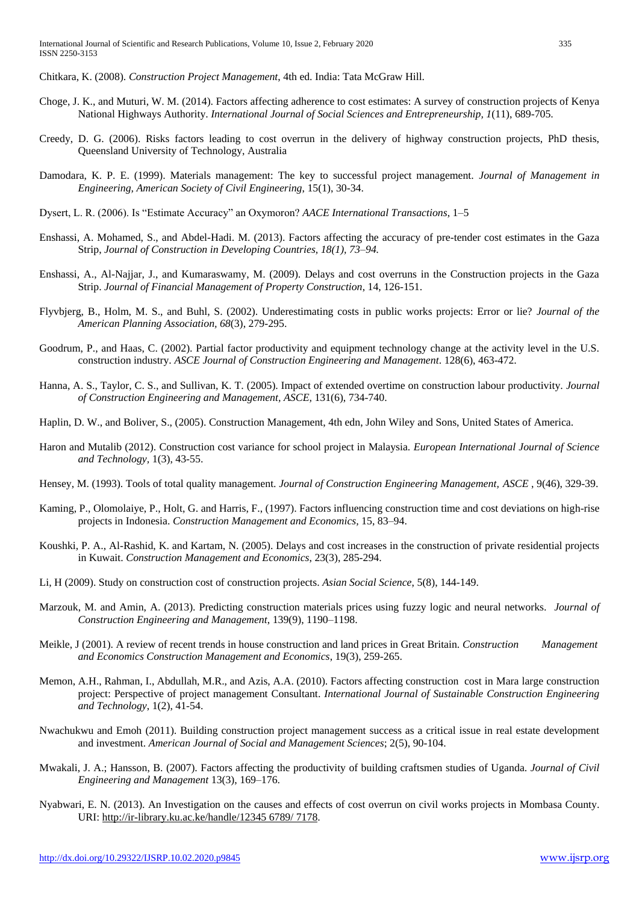Chitkara, K. (2008). *Construction Project Management*, 4th ed. India: Tata McGraw Hill.

- Choge, J. K., and Muturi, W. M. (2014). Factors affecting adherence to cost estimates: A survey of construction projects of Kenya National Highways Authority. *International Journal of Social Sciences and Entrepreneurship, 1*(11), 689-705.
- Creedy, D. G. (2006). Risks factors leading to cost overrun in the delivery of highway construction projects, PhD thesis, Queensland University of Technology, Australia
- Damodara, K. P. E. (1999). Materials management: The key to successful project management. *Journal of Management in Engineering, American Society of Civil Engineering*, 15(1), 30-34.
- Dysert, L. R. (2006). Is "Estimate Accuracy" an Oxymoron? *AACE International Transactions*, 1–5
- Enshassi, A. Mohamed, S., and Abdel-Hadi. M. (2013). Factors affecting the accuracy of pre-tender cost estimates in the Gaza Strip, *Journal of Construction in Developing Countries, 18(1), 73–94.*
- Enshassi, A., Al-Najjar, J., and Kumaraswamy, M. (2009). Delays and cost overruns in the Construction projects in the Gaza Strip. *Journal of Financial Management of Property Construction*, 14, 126-151.
- Flyvbjerg, B., Holm, M. S., and Buhl, S. (2002). Underestimating costs in public works projects: Error or lie? *Journal of the American Planning Association, 68*(3), 279-295.
- Goodrum, P., and Haas, C. (2002). Partial factor productivity and equipment technology change at the activity level in the U.S. construction industry. *ASCE Journal of Construction Engineering and Management*. 128(6), 463-472.
- Hanna, A. S., Taylor, C. S., and Sullivan, K. T. (2005). Impact of extended overtime on construction labour productivity. *Journal of Construction Engineering and Management, ASCE,* 131(6), 734-740.
- Haplin, D. W., and Boliver, S., (2005). Construction Management, 4th edn, John Wiley and Sons, United States of America.
- Haron and Mutalib (2012). Construction cost variance for school project in Malaysia. *European International Journal of Science and Technology,* 1(3), 43-55.
- Hensey, M. (1993). Tools of total quality management. *Journal of Construction Engineering Management, ASCE* , 9(46), 329-39.
- Kaming, P., Olomolaiye, P., Holt, G. and Harris, F., (1997). Factors influencing construction time and cost deviations on high-rise projects in Indonesia. *Construction Management and Economics,* 15, 83–94.
- Koushki, P. A., Al-Rashid, K. and Kartam, N. (2005). Delays and cost increases in the construction of private residential projects in Kuwait. *Construction Management and Economics*, 23(3), 285-294.
- Li, H (2009). Study on construction cost of construction projects. *Asian Social Science*, 5(8), 144-149.
- Marzouk, M. and Amin, A. (2013). Predicting construction materials prices using fuzzy logic and neural networks. *Journal of Construction Engineering and Management*, 139(9), 1190–1198.
- Meikle, J (2001). A review of recent trends in house construction and land prices in Great Britain. *Construction Management and Economics Construction Management and Economics*, [19\(](http://www.tandfonline.com/loi/rcme20?open=19#vol_19)3), 259-265.
- Memon, A.H., Rahman, I., Abdullah, M.R., and Azis, A.A. (2010). Factors affecting construction cost in Mara large construction project: Perspective of project management Consultant. *International Journal of Sustainable Construction Engineering and Technology*, 1(2), 41-54.
- Nwachukwu and Emoh (2011). Building construction project management success as a critical issue in real estate development and investment. *American Journal of Social and Management Sciences*; 2(5), 90-104.
- Mwakali, J. A.; Hansson, B. (2007). Factors affecting the productivity of building craftsmen studies of Uganda. *Journal of Civil Engineering and Management* 13(3), 169–176.
- Nyabwari, E. N. (2013). An Investigation on the causes and effects of cost overrun on civil works projects in Mombasa County. URI: [http://ir-library.ku.ac.ke/handle/12345 6789/ 7178.](http://ir-library.ku.ac.ke/handle/12345%206789/%207178)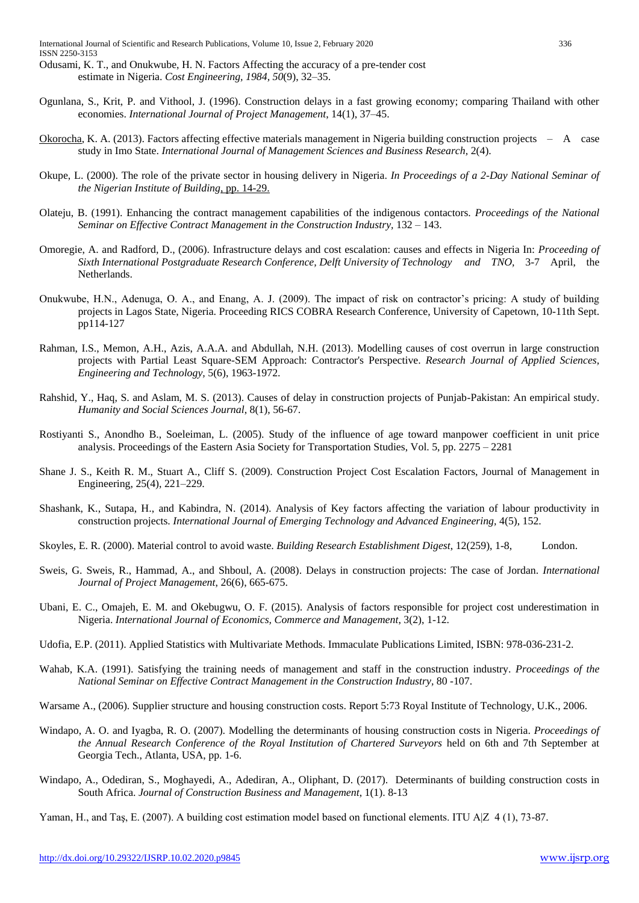- Odusami, K. T., and Onukwube, H. N. Factors Affecting the accuracy of a pre-tender cost estimate in Nigeria. *Cost Engineering, 1984, 50*(9), 32–35.
- Ogunlana, S., Krit, P. and Vithool, J. (1996). Construction delays in a fast growing economy; comparing Thailand with other economies. *International Journal of Project Management*, 14(1), 37–45.
- Okorocha, K. A. (2013). Factors affecting effective materials management in Nigeria building construction projects  $A$  case study in Imo State. *International Journal of Management Sciences and Business Research,* 2(4).
- Okupe, L. (2000). The role of the private sector in housing delivery in Nigeria. *In Proceedings of a 2-Day National Seminar of the Nigerian Institute of Building*, pp. 14-29.
- Olateju, B. (1991). Enhancing the contract management capabilities of the indigenous contactors. *Proceedings of the National Seminar on Effective Contract Management in the Construction Industry,* 132 – 143.
- Omoregie, A. and Radford, D., (2006). Infrastructure delays and cost escalation: causes and effects in Nigeria In: *Proceeding of Sixth International Postgraduate Research Conference, Delft University of Technology and TNO,* 3-7 April, the Netherlands.
- Onukwube, H.N., Adenuga, O. A., and Enang, A. J. (2009). The impact of risk on contractor's pricing: A study of building projects in Lagos State, Nigeria. Proceeding RICS COBRA Research Conference, University of Capetown, 10-11th Sept. pp114-127
- Rahman, I.S., Memon, A.H., Azis, A.A.A. and Abdullah, N.H. (2013). Modelling causes of cost overrun in large construction projects with Partial Least Square-SEM Approach: Contractor's Perspective. *Research Journal of Applied Sciences, Engineering and Technology,* 5(6), 1963-1972.
- Rahshid, Y., Haq, S. and Aslam, M. S. (2013). Causes of delay in construction projects of Punjab-Pakistan: An empirical study. *Humanity and Social Sciences Journal*, 8(1), 56-67.
- Rostiyanti S., Anondho B., Soeleiman, L. (2005). Study of the influence of age toward manpower coefficient in unit price analysis. Proceedings of the Eastern Asia Society for Transportation Studies, Vol. 5, pp. 2275 – 2281
- Shane J. S., Keith R. M., Stuart A., Cliff S. (2009). Construction Project Cost Escalation Factors, Journal of Management in Engineering, 25(4), 221–229.
- Shashank, K., Sutapa, H., and Kabindra, N. (2014). Analysis of Key factors affecting the variation of labour productivity in construction projects. *International Journal of Emerging Technology and Advanced Engineering,* 4(5), 152.
- Skoyles, E. R. (2000). Material control to avoid waste. *Building Research Establishment Digest*, 12(259), 1-8, London.
- Sweis, G. Sweis, R., Hammad, A., and Shboul, A. (2008). Delays in construction projects: The case of Jordan. *International Journal of Project Management*, 26(6), 665-675.
- Ubani, E. C., Omajeh, E. M. and Okebugwu, O. F. (2015). Analysis of factors responsible for project cost underestimation in Nigeria. *International Journal of Economics, Commerce and Management*, 3(2), 1-12.
- Udofia, E.P. (2011). Applied Statistics with Multivariate Methods. Immaculate Publications Limited, ISBN: 978-036-231-2.
- Wahab, K.A. (1991). Satisfying the training needs of management and staff in the construction industry. *Proceedings of the National Seminar on Effective Contract Management in the Construction Industry,* 80 -107.
- Warsame A., (2006). Supplier structure and housing construction costs. Report 5:73 Royal Institute of Technology, U.K., 2006.
- Windapo, A. O. and Iyagba, R. O. (2007). Modelling the determinants of housing construction costs in Nigeria. *Proceedings of the Annual Research Conference of the Royal Institution of Chartered Surveyors* held on 6th and 7th September at Georgia Tech., Atlanta, USA, pp. 1-6.
- Windapo, A., Odediran, S., Moghayedi, A., Adediran, A., Oliphant, D. (2017). Determinants of building construction costs in South Africa. *Journal of Construction Business and Management*, 1(1). 8-13
- Yaman, H., and Taş, E. (2007). A building cost estimation model based on functional elements. ITU A|Z 4 (1), 73-87.